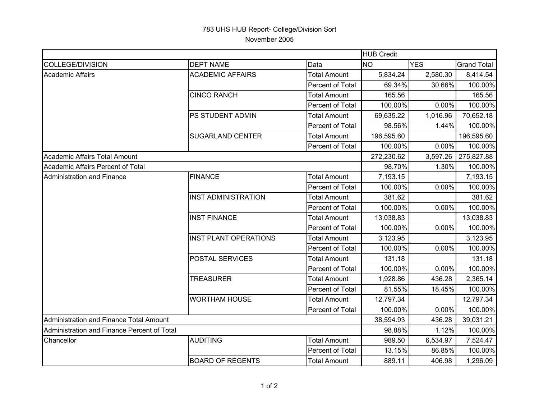## 783 UHS HUB Report- College/Division Sort November 2005

|                                             |                              |                     | <b>HUB Credit</b> |            |                    |  |
|---------------------------------------------|------------------------------|---------------------|-------------------|------------|--------------------|--|
| COLLEGE/DIVISION                            | <b>DEPT NAME</b>             | Data                | <b>NO</b>         | <b>YES</b> | <b>Grand Total</b> |  |
| Academic Affairs                            | <b>ACADEMIC AFFAIRS</b>      | <b>Total Amount</b> | 5,834.24          | 2,580.30   | 8,414.54           |  |
|                                             |                              | Percent of Total    | 69.34%            | 30.66%     | 100.00%            |  |
|                                             | <b>CINCO RANCH</b>           | <b>Total Amount</b> | 165.56            |            | 165.56             |  |
|                                             |                              | Percent of Total    | 100.00%           | 0.00%      | 100.00%            |  |
|                                             | PS STUDENT ADMIN             | <b>Total Amount</b> | 69,635.22         | 1,016.96   | 70,652.18          |  |
|                                             |                              | Percent of Total    | 98.56%            | 1.44%      | 100.00%            |  |
|                                             | <b>SUGARLAND CENTER</b>      | <b>Total Amount</b> | 196,595.60        |            | 196,595.60         |  |
|                                             |                              | Percent of Total    | 100.00%           | 0.00%      | 100.00%            |  |
| Academic Affairs Total Amount               |                              |                     | 272,230.62        | 3,597.26   | 275,827.88         |  |
| Academic Affairs Percent of Total           |                              |                     | 98.70%            | 1.30%      | 100.00%            |  |
| <b>Administration and Finance</b>           | <b>FINANCE</b>               | <b>Total Amount</b> | 7,193.15          |            | 7,193.15           |  |
|                                             |                              | Percent of Total    | 100.00%           | 0.00%      | 100.00%            |  |
|                                             | <b>INST ADMINISTRATION</b>   | <b>Total Amount</b> | 381.62            |            | 381.62             |  |
|                                             |                              | Percent of Total    | 100.00%           | 0.00%      | 100.00%            |  |
|                                             | <b>INST FINANCE</b>          | <b>Total Amount</b> | 13,038.83         |            | 13,038.83          |  |
|                                             |                              | Percent of Total    | 100.00%           | 0.00%      | 100.00%            |  |
|                                             | <b>INST PLANT OPERATIONS</b> | <b>Total Amount</b> | 3,123.95          |            | 3,123.95           |  |
|                                             |                              | Percent of Total    | 100.00%           | 0.00%      | 100.00%            |  |
|                                             | POSTAL SERVICES              | <b>Total Amount</b> | 131.18            |            | 131.18             |  |
|                                             |                              | Percent of Total    | 100.00%           | 0.00%      | 100.00%            |  |
|                                             | <b>TREASURER</b>             | <b>Total Amount</b> | 1,928.86          | 436.28     | 2,365.14           |  |
|                                             |                              | Percent of Total    | 81.55%            | 18.45%     | 100.00%            |  |
|                                             | <b>WORTHAM HOUSE</b>         | <b>Total Amount</b> | 12,797.34         |            | 12,797.34          |  |
|                                             |                              | Percent of Total    | 100.00%           | 0.00%      | 100.00%            |  |
| Administration and Finance Total Amount     |                              |                     | 38,594.93         | 436.28     | 39,031.21          |  |
| Administration and Finance Percent of Total |                              |                     | 98.88%            | 1.12%      | 100.00%            |  |
| Chancellor                                  | <b>AUDITING</b>              | <b>Total Amount</b> | 989.50            | 6,534.97   | 7,524.47           |  |
|                                             |                              | Percent of Total    | 13.15%            | 86.85%     | 100.00%            |  |
|                                             | <b>BOARD OF REGENTS</b>      | <b>Total Amount</b> | 889.11            | 406.98     | 1,296.09           |  |